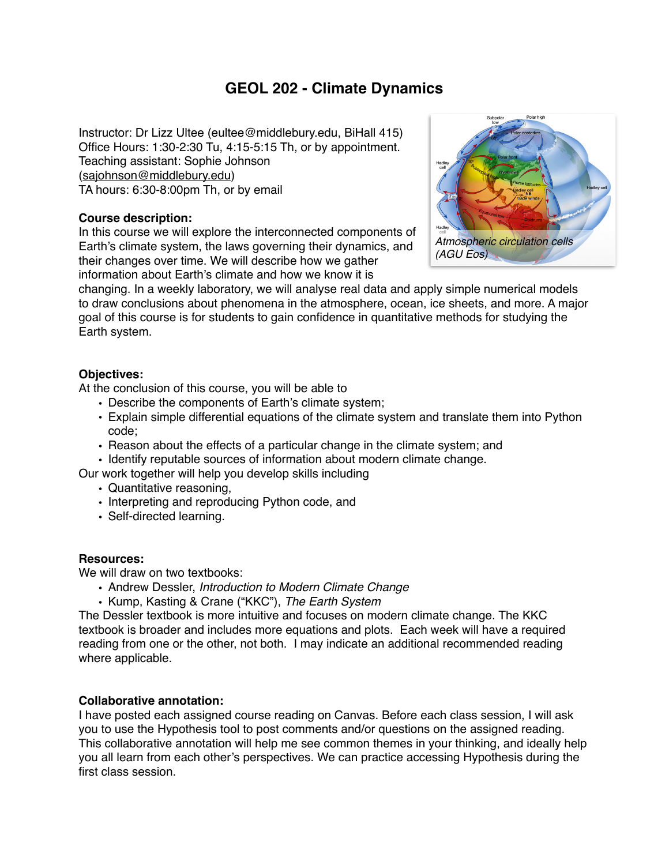# **GEOL 202 - Climate Dynamics**

Instructor: Dr Lizz Ultee (eultee@middlebury.edu, BiHall 415) Office Hours: 1:30-2:30 Tu, 4:15-5:15 Th, or by appointment. Teaching assistant: Sophie Johnson ([sajohnson@middlebury.edu](mailto:sajohnson@middlebury.edu)) TA hours: 6:30-8:00pm Th, or by email

#### **Course description:**

In this course we will explore the interconnected components of Earth's climate system, the laws governing their dynamics, and their changes over time. We will describe how we gather information about Earth's climate and how we know it is



changing. In a weekly laboratory, we will analyse real data and apply simple numerical models to draw conclusions about phenomena in the atmosphere, ocean, ice sheets, and more. A major goal of this course is for students to gain confidence in quantitative methods for studying the Earth system.

#### **Objectives:**

At the conclusion of this course, you will be able to

- Describe the components of Earth's climate system;
- Explain simple differential equations of the climate system and translate them into Python code;
- Reason about the effects of a particular change in the climate system; and
- Identify reputable sources of information about modern climate change.

Our work together will help you develop skills including

- Quantitative reasoning,
- Interpreting and reproducing Python code, and
- Self-directed learning.

### **Resources:**

We will draw on two textbooks:

- Andrew Dessler, *Introduction to Modern Climate Change*
- Kump, Kasting & Crane ("KKC"), *The Earth System*

The Dessler textbook is more intuitive and focuses on modern climate change. The KKC textbook is broader and includes more equations and plots. Each week will have a required reading from one or the other, not both. I may indicate an additional recommended reading where applicable.

#### **Collaborative annotation:**

I have posted each assigned course reading on Canvas. Before each class session, I will ask you to use the Hypothesis tool to post comments and/or questions on the assigned reading. This collaborative annotation will help me see common themes in your thinking, and ideally help you all learn from each other's perspectives. We can practice accessing Hypothesis during the first class session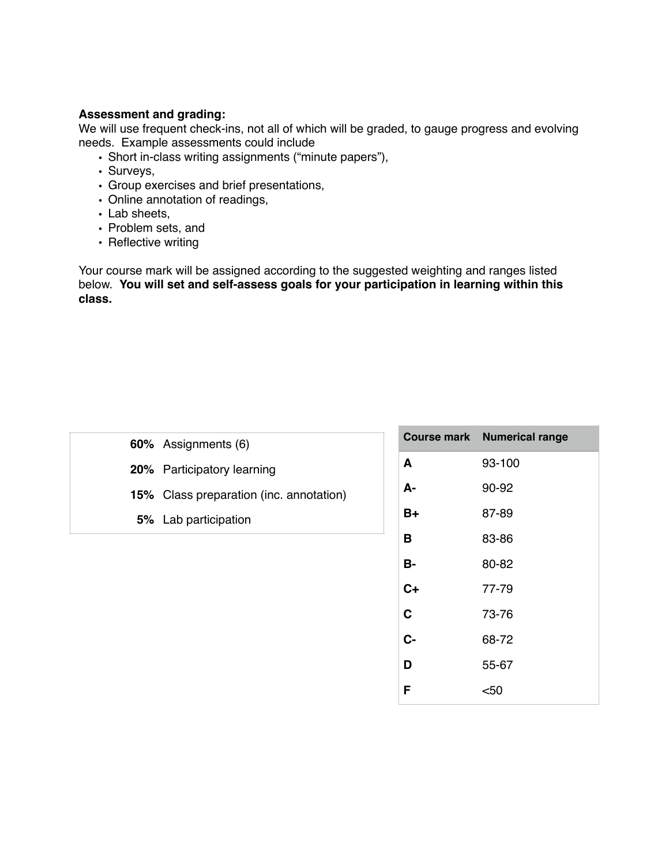### **Assessment and grading:**

We will use frequent check-ins, not all of which will be graded, to gauge progress and evolving needs. Example assessments could include

- Short in-class writing assignments ("minute papers"),
- Surveys,
- Group exercises and brief presentations,
- Online annotation of readings,
- Lab sheets,
- Problem sets, and
- Reflective writing

Your course mark will be assigned according to the suggested weighting and ranges listed below. **You will set and self-assess goals for your participation in learning within this class.**

| 60% Assignments (6)                            |
|------------------------------------------------|
| 20% Participatory learning                     |
| <b>15%</b> Class preparation (inc. annotation) |
| <b>5%</b> Lab participation                    |
|                                                |

|      | <b>Course mark Numerical range</b> |
|------|------------------------------------|
| A    | 93-100                             |
| А-   | 90-92                              |
| B+   | 87-89                              |
| в    | 83-86                              |
| В-   | 80-82                              |
| $C+$ | 77-79                              |
| C    | 73-76                              |
| C-   | 68-72                              |
| D    | 55-67                              |
| F    | <50                                |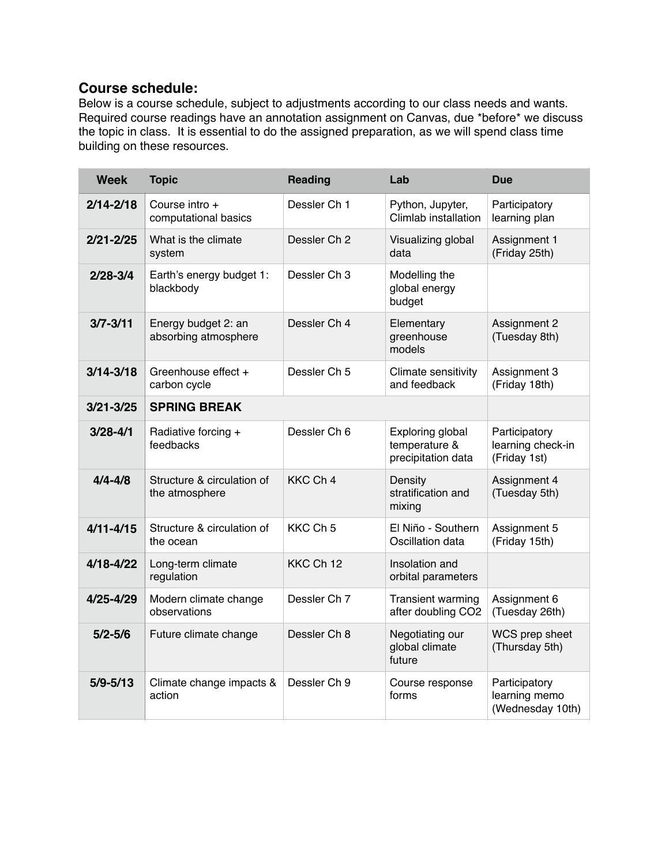## **Course schedule:**

Below is a course schedule, subject to adjustments according to our class needs and wants. Required course readings have an annotation assignment on Canvas, due \*before\* we discuss the topic in class. It is essential to do the assigned preparation, as we will spend class time building on these resources.

| <b>Week</b>   | <b>Topic</b>                                 | <b>Reading</b>      | Lab                                                     | <b>Due</b>                                         |
|---------------|----------------------------------------------|---------------------|---------------------------------------------------------|----------------------------------------------------|
| $2/14 - 2/18$ | Course intro +<br>computational basics       | Dessler Ch 1        | Python, Jupyter,<br>Climlab installation                | Participatory<br>learning plan                     |
| $2/21 - 2/25$ | What is the climate<br>system                | Dessler Ch 2        | Visualizing global<br>data                              | Assignment 1<br>(Friday 25th)                      |
| $2/28 - 3/4$  | Earth's energy budget 1:<br>blackbody        | Dessler Ch 3        | Modelling the<br>global energy<br>budget                |                                                    |
| $3/7 - 3/11$  | Energy budget 2: an<br>absorbing atmosphere  | Dessler Ch 4        | Elementary<br>greenhouse<br>models                      | Assignment 2<br>(Tuesday 8th)                      |
| $3/14 - 3/18$ | Greenhouse effect +<br>carbon cycle          | Dessler Ch 5        | Climate sensitivity<br>and feedback                     | Assignment 3<br>(Friday 18th)                      |
| $3/21 - 3/25$ | <b>SPRING BREAK</b>                          |                     |                                                         |                                                    |
| $3/28 - 4/1$  | Radiative forcing +<br>feedbacks             | Dessler Ch 6        | Exploring global<br>temperature &<br>precipitation data | Participatory<br>learning check-in<br>(Friday 1st) |
| $4/4 - 4/8$   | Structure & circulation of<br>the atmosphere | KKC Ch 4            | Density<br>stratification and<br>mixing                 | Assignment 4<br>(Tuesday 5th)                      |
| $4/11 - 4/15$ | Structure & circulation of<br>the ocean      | KKC Ch <sub>5</sub> | El Niño - Southern<br>Oscillation data                  | Assignment 5<br>(Friday 15th)                      |
| $4/18 - 4/22$ | Long-term climate<br>regulation              | KKC Ch 12           | Insolation and<br>orbital parameters                    |                                                    |
| $4/25 - 4/29$ | Modern climate change<br>observations        | Dessler Ch 7        | Transient warming<br>after doubling CO2                 | Assignment 6<br>(Tuesday 26th)                     |
| $5/2 - 5/6$   | Future climate change                        | Dessler Ch 8        | Negotiating our<br>global climate<br>future             | WCS prep sheet<br>(Thursday 5th)                   |
| $5/9 - 5/13$  | Climate change impacts &<br>action           | Dessler Ch 9        | Course response<br>forms                                | Participatory<br>learning memo<br>(Wednesday 10th) |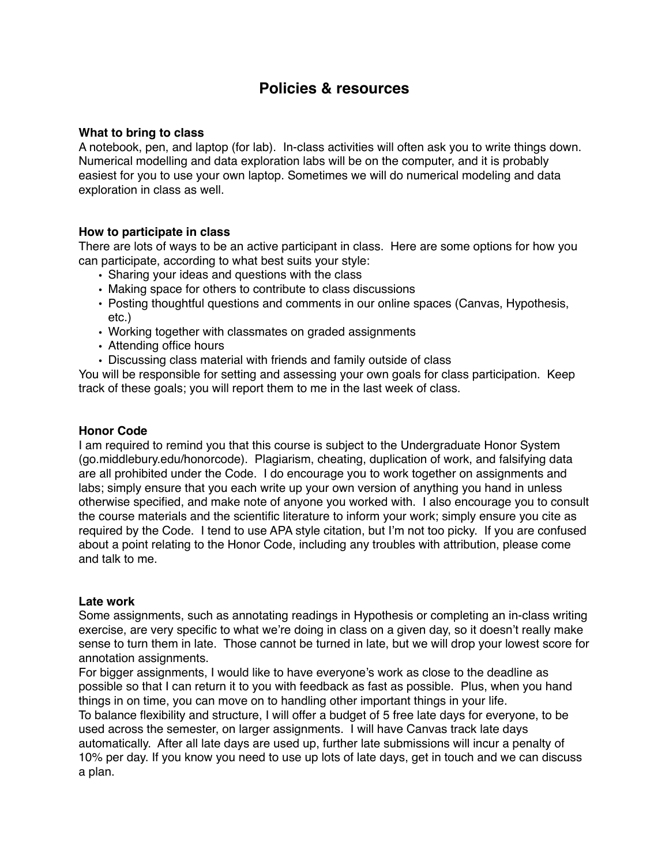## **Policies & resources**

#### **What to bring to class**

A notebook, pen, and laptop (for lab). In-class activities will often ask you to write things down. Numerical modelling and data exploration labs will be on the computer, and it is probably easiest for you to use your own laptop. Sometimes we will do numerical modeling and data exploration in class as well.

#### **How to participate in class**

There are lots of ways to be an active participant in class. Here are some options for how you can participate, according to what best suits your style:

- Sharing your ideas and questions with the class
- Making space for others to contribute to class discussions
- Posting thoughtful questions and comments in our online spaces (Canvas, Hypothesis, etc.)
- Working together with classmates on graded assignments
- Attending office hours
- Discussing class material with friends and family outside of class

You will be responsible for setting and assessing your own goals for class participation. Keep track of these goals; you will report them to me in the last week of class.

#### **Honor Code**

I am required to remind you that this course is subject to the Undergraduate Honor System (go.middlebury.edu/honorcode). Plagiarism, cheating, duplication of work, and falsifying data are all prohibited under the Code. I do encourage you to work together on assignments and labs; simply ensure that you each write up your own version of anything you hand in unless otherwise specified, and make note of anyone you worked with. I also encourage you to consult the course materials and the scientific literature to inform your work; simply ensure you cite as required by the Code. I tend to use APA style citation, but I'm not too picky. If you are confused about a point relating to the Honor Code, including any troubles with attribution, please come and talk to me.

#### **Late work**

Some assignments, such as annotating readings in Hypothesis or completing an in-class writing exercise, are very specific to what we're doing in class on a given day, so it doesn't really make sense to turn them in late. Those cannot be turned in late, but we will drop your lowest score for annotation assignments.

For bigger assignments, I would like to have everyone's work as close to the deadline as possible so that I can return it to you with feedback as fast as possible. Plus, when you hand things in on time, you can move on to handling other important things in your life. To balance flexibility and structure, I will offer a budget of 5 free late days for everyone, to be used across the semester, on larger assignments. I will have Canvas track late days automatically. After all late days are used up, further late submissions will incur a penalty of 10% per day. If you know you need to use up lots of late days, get in touch and we can discuss a plan.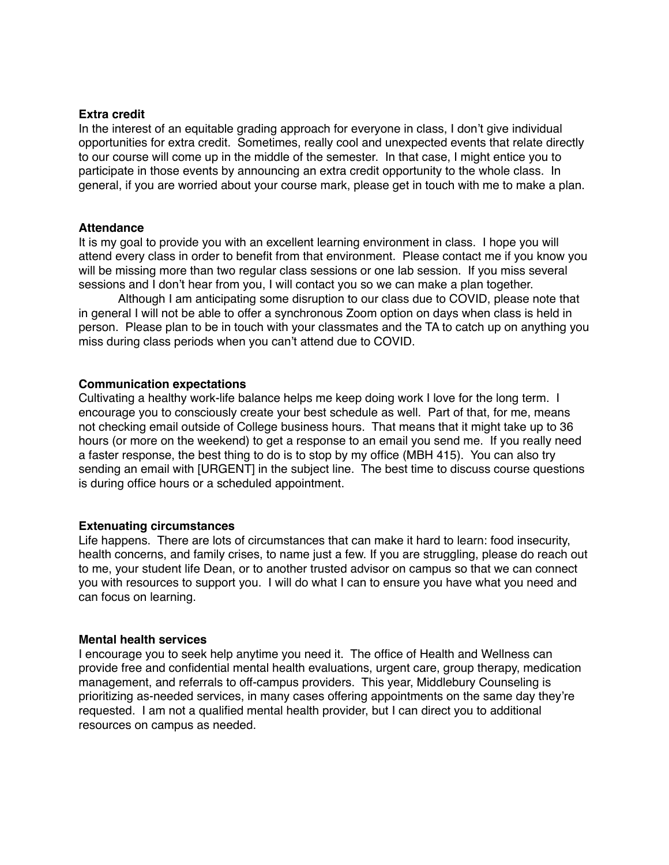#### **Extra credit**

In the interest of an equitable grading approach for everyone in class, I don't give individual opportunities for extra credit. Sometimes, really cool and unexpected events that relate directly to our course will come up in the middle of the semester. In that case, I might entice you to participate in those events by announcing an extra credit opportunity to the whole class. In general, if you are worried about your course mark, please get in touch with me to make a plan.

#### **Attendance**

It is my goal to provide you with an excellent learning environment in class. I hope you will attend every class in order to benefit from that environment. Please contact me if you know you will be missing more than two regular class sessions or one lab session. If you miss several sessions and I don't hear from you, I will contact you so we can make a plan together.

Although I am anticipating some disruption to our class due to COVID, please note that in general I will not be able to offer a synchronous Zoom option on days when class is held in person. Please plan to be in touch with your classmates and the TA to catch up on anything you miss during class periods when you can't attend due to COVID.

#### **Communication expectations**

Cultivating a healthy work-life balance helps me keep doing work I love for the long term. I encourage you to consciously create your best schedule as well. Part of that, for me, means not checking email outside of College business hours. That means that it might take up to 36 hours (or more on the weekend) to get a response to an email you send me. If you really need a faster response, the best thing to do is to stop by my office (MBH 415). You can also try sending an email with [URGENT] in the subject line. The best time to discuss course questions is during office hours or a scheduled appointment.

#### **Extenuating circumstances**

Life happens. There are lots of circumstances that can make it hard to learn: food insecurity, health concerns, and family crises, to name just a few. If you are struggling, please do reach out to me, your student life Dean, or to another trusted advisor on campus so that we can connect you with resources to support you. I will do what I can to ensure you have what you need and can focus on learning.

#### **Mental health services**

I encourage you to seek help anytime you need it. The office of Health and Wellness can provide free and confidential mental health evaluations, urgent care, group therapy, medication management, and referrals to off-campus providers. This year, Middlebury Counseling is prioritizing as-needed services, in many cases offering appointments on the same day they're requested. I am not a qualified mental health provider, but I can direct you to additional resources on campus as needed.